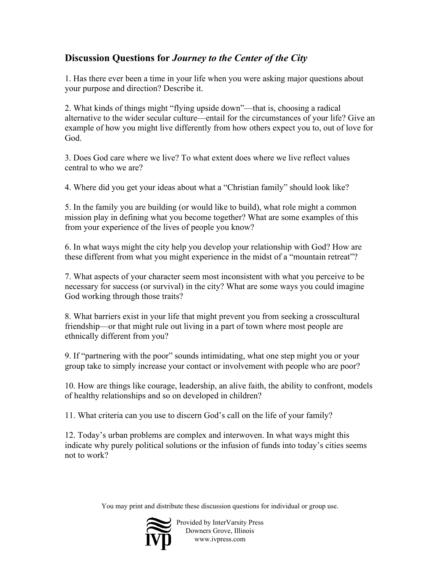## **Discussion Questions for** *Journey to the Center of the City*

1. Has there ever been a time in your life when you were asking major questions about your purpose and direction? Describe it.

2. What kinds of things might "flying upside down"—that is, choosing a radical alternative to the wider secular culture—entail for the circumstances of your life? Give an example of how you might live differently from how others expect you to, out of love for God.

3. Does God care where we live? To what extent does where we live reflect values central to who we are?

4. Where did you get your ideas about what a "Christian family" should look like?

5. In the family you are building (or would like to build), what role might a common mission play in defining what you become together? What are some examples of this from your experience of the lives of people you know?

6. In what ways might the city help you develop your relationship with God? How are these different from what you might experience in the midst of a "mountain retreat"?

7. What aspects of your character seem most inconsistent with what you perceive to be necessary for success (or survival) in the city? What are some ways you could imagine God working through those traits?

8. What barriers exist in your life that might prevent you from seeking a crosscultural friendship—or that might rule out living in a part of town where most people are ethnically different from you?

9. If "partnering with the poor" sounds intimidating, what one step might you or your group take to simply increase your contact or involvement with people who are poor?

10. How are things like courage, leadership, an alive faith, the ability to confront, models of healthy relationships and so on developed in children?

11. What criteria can you use to discern God's call on the life of your family?

12. Today's urban problems are complex and interwoven. In what ways might this indicate why purely political solutions or the infusion of funds into today's cities seems not to work?

You may print and distribute these discussion questions for individual or group use.



Provided by InterVarsity Press Downers Grove, Illinois www.ivpress.com